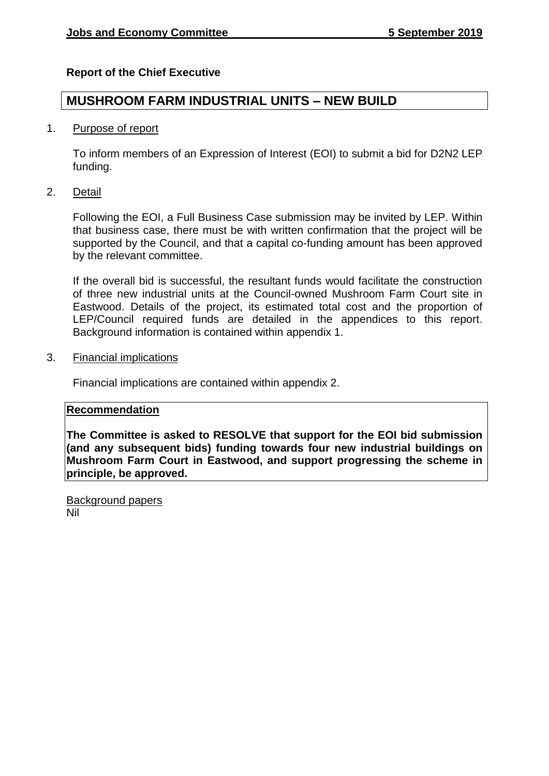## **Report of the Chief Executive**

# **MUSHROOM FARM INDUSTRIAL UNITS – NEW BUILD**

#### 1. Purpose of report

To inform members of an Expression of Interest (EOI) to submit a bid for D2N2 LEP funding.

2. Detail

Following the EOI, a Full Business Case submission may be invited by LEP. Within that business case, there must be with written confirmation that the project will be supported by the Council, and that a capital co-funding amount has been approved by the relevant committee.

If the overall bid is successful, the resultant funds would facilitate the construction of three new industrial units at the Council-owned Mushroom Farm Court site in Eastwood. Details of the project, its estimated total cost and the proportion of LEP/Council required funds are detailed in the appendices to this report. Background information is contained within appendix 1.

3. Financial implications

Financial implications are contained within appendix 2.

#### **Recommendation**

**The Committee is asked to RESOLVE that support for the EOI bid submission (and any subsequent bids) funding towards four new industrial buildings on Mushroom Farm Court in Eastwood, and support progressing the scheme in principle, be approved.**

Background papers Nil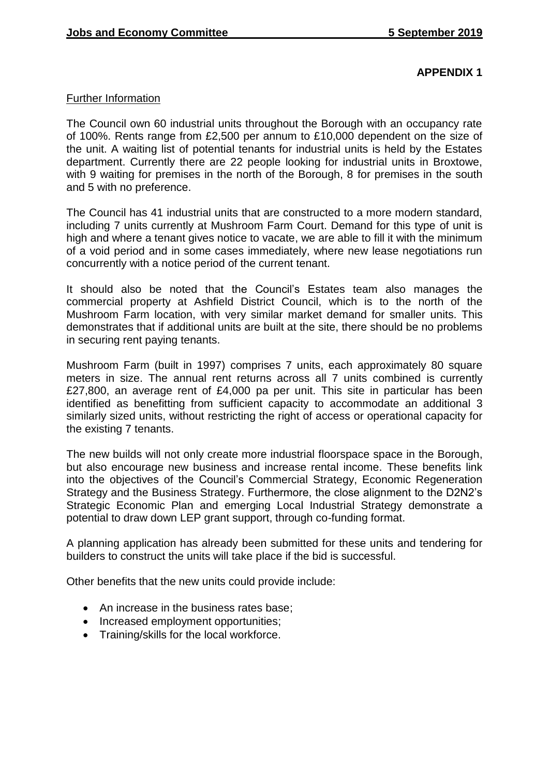## **APPENDIX 1**

## Further Information

The Council own 60 industrial units throughout the Borough with an occupancy rate of 100%. Rents range from £2,500 per annum to £10,000 dependent on the size of the unit. A waiting list of potential tenants for industrial units is held by the Estates department. Currently there are 22 people looking for industrial units in Broxtowe, with 9 waiting for premises in the north of the Borough, 8 for premises in the south and 5 with no preference.

The Council has 41 industrial units that are constructed to a more modern standard, including 7 units currently at Mushroom Farm Court. Demand for this type of unit is high and where a tenant gives notice to vacate, we are able to fill it with the minimum of a void period and in some cases immediately, where new lease negotiations run concurrently with a notice period of the current tenant.

It should also be noted that the Council's Estates team also manages the commercial property at Ashfield District Council, which is to the north of the Mushroom Farm location, with very similar market demand for smaller units. This demonstrates that if additional units are built at the site, there should be no problems in securing rent paying tenants.

Mushroom Farm (built in 1997) comprises 7 units, each approximately 80 square meters in size. The annual rent returns across all 7 units combined is currently £27,800, an average rent of £4,000 pa per unit. This site in particular has been identified as benefitting from sufficient capacity to accommodate an additional 3 similarly sized units, without restricting the right of access or operational capacity for the existing 7 tenants.

The new builds will not only create more industrial floorspace space in the Borough, but also encourage new business and increase rental income. These benefits link into the objectives of the Council's Commercial Strategy, Economic Regeneration Strategy and the Business Strategy. Furthermore, the close alignment to the D2N2's Strategic Economic Plan and emerging Local Industrial Strategy demonstrate a potential to draw down LEP grant support, through co-funding format.

A planning application has already been submitted for these units and tendering for builders to construct the units will take place if the bid is successful.

Other benefits that the new units could provide include:

- An increase in the business rates base;
- Increased employment opportunities;
- Training/skills for the local workforce.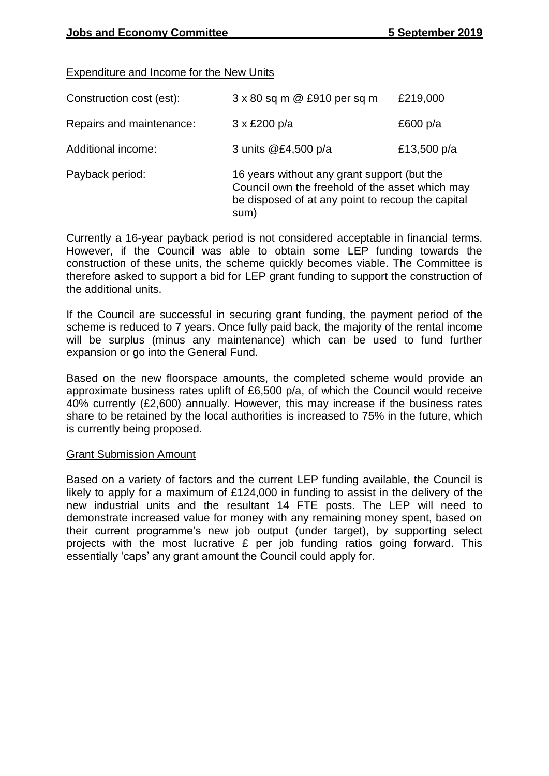## Expenditure and Income for the New Units

| Construction cost (est): | 3 x 80 sq m @ £910 per sq m                                                                                                                                 | £219,000    |
|--------------------------|-------------------------------------------------------------------------------------------------------------------------------------------------------------|-------------|
| Repairs and maintenance: | $3 \times £200 \text{ p/a}$                                                                                                                                 | £600 $p/a$  |
| Additional income:       | 3 units @£4,500 p/a                                                                                                                                         | £13,500 p/a |
| Payback period:          | 16 years without any grant support (but the<br>Council own the freehold of the asset which may<br>be disposed of at any point to recoup the capital<br>sum) |             |

Currently a 16-year payback period is not considered acceptable in financial terms. However, if the Council was able to obtain some LEP funding towards the construction of these units, the scheme quickly becomes viable. The Committee is therefore asked to support a bid for LEP grant funding to support the construction of the additional units.

If the Council are successful in securing grant funding, the payment period of the scheme is reduced to 7 years. Once fully paid back, the majority of the rental income will be surplus (minus any maintenance) which can be used to fund further expansion or go into the General Fund.

Based on the new floorspace amounts, the completed scheme would provide an approximate business rates uplift of £6,500 p/a, of which the Council would receive 40% currently (£2,600) annually. However, this may increase if the business rates share to be retained by the local authorities is increased to 75% in the future, which is currently being proposed.

#### Grant Submission Amount

Based on a variety of factors and the current LEP funding available, the Council is likely to apply for a maximum of £124,000 in funding to assist in the delivery of the new industrial units and the resultant 14 FTE posts. The LEP will need to demonstrate increased value for money with any remaining money spent, based on their current programme's new job output (under target), by supporting select projects with the most lucrative £ per job funding ratios going forward. This essentially 'caps' any grant amount the Council could apply for.